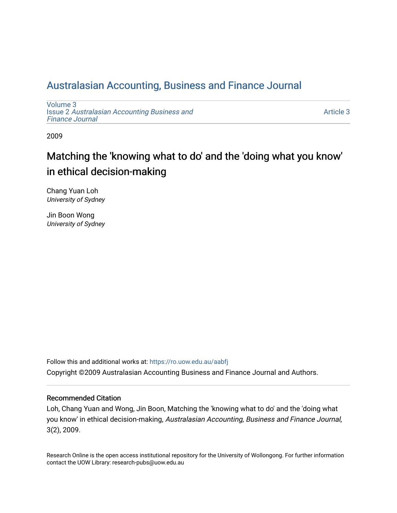# [Australasian Accounting, Business and Finance Journal](https://ro.uow.edu.au/aabfj)

[Volume 3](https://ro.uow.edu.au/aabfj/vol3) Issue 2 [Australasian Accounting Business and](https://ro.uow.edu.au/aabfj/vol3/iss2) [Finance Journal](https://ro.uow.edu.au/aabfj/vol3/iss2) 

[Article 3](https://ro.uow.edu.au/aabfj/vol3/iss2/3) 

2009

# Matching the 'knowing what to do' and the 'doing what you know' in ethical decision-making

Chang Yuan Loh University of Sydney

Jin Boon Wong University of Sydney

Follow this and additional works at: [https://ro.uow.edu.au/aabfj](https://ro.uow.edu.au/aabfj?utm_source=ro.uow.edu.au%2Faabfj%2Fvol3%2Fiss2%2F3&utm_medium=PDF&utm_campaign=PDFCoverPages) Copyright ©2009 Australasian Accounting Business and Finance Journal and Authors.

#### Recommended Citation

Loh, Chang Yuan and Wong, Jin Boon, Matching the 'knowing what to do' and the 'doing what you know' in ethical decision-making, Australasian Accounting, Business and Finance Journal, 3(2), 2009.

Research Online is the open access institutional repository for the University of Wollongong. For further information contact the UOW Library: research-pubs@uow.edu.au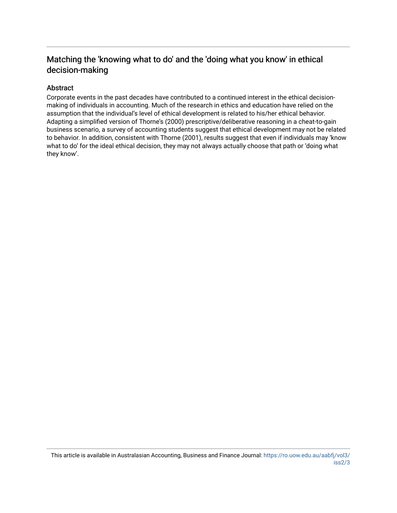## Matching the 'knowing what to do' and the 'doing what you know' in ethical decision-making

#### Abstract

Corporate events in the past decades have contributed to a continued interest in the ethical decisionmaking of individuals in accounting. Much of the research in ethics and education have relied on the assumption that the individual's level of ethical development is related to his/her ethical behavior. Adapting a simplified version of Thorne's (2000) prescriptive/deliberative reasoning in a cheat-to-gain business scenario, a survey of accounting students suggest that ethical development may not be related to behavior. In addition, consistent with Thorne (2001), results suggest that even if individuals may 'know what to do' for the ideal ethical decision, they may not always actually choose that path or 'doing what they know'.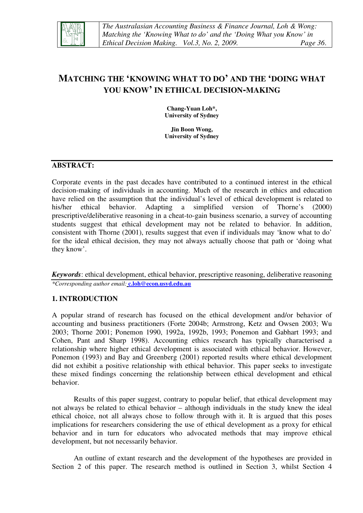

## **MATCHING THE 'KNOWING WHAT TO DO' AND THE 'DOING WHAT YOU KNOW' IN ETHICAL DECISION-MAKING**

**Chang-Yuan Loh\*, University of Sydney** 

**Jin Boon Wong, University of Sydney** 

#### **ABSTRACT:**

Corporate events in the past decades have contributed to a continued interest in the ethical decision-making of individuals in accounting. Much of the research in ethics and education have relied on the assumption that the individual's level of ethical development is related to his/her ethical behavior. Adapting a simplified version of Thorne's (2000) prescriptive/deliberative reasoning in a cheat-to-gain business scenario, a survey of accounting students suggest that ethical development may not be related to behavior. In addition, consistent with Thorne (2001), results suggest that even if individuals may 'know what to do' for the ideal ethical decision, they may not always actually choose that path or 'doing what they know'.

*Keywords*: ethical development, ethical behavior, prescriptive reasoning, deliberative reasoning *\*Corresponding author email:* **c.loh@econ.usyd.edu.au**

#### **1. INTRODUCTION**

A popular strand of research has focused on the ethical development and/or behavior of accounting and business practitioners (Forte 2004b; Armstrong, Ketz and Owsen 2003; Wu 2003; Thorne 2001; Ponemon 1990, 1992a, 1992b, 1993; Ponemon and Gabhart 1993; and Cohen, Pant and Sharp 1998). Accounting ethics research has typically characterised a relationship where higher ethical development is associated with ethical behavior. However, Ponemon (1993) and Bay and Greenberg (2001) reported results where ethical development did not exhibit a positive relationship with ethical behavior. This paper seeks to investigate these mixed findings concerning the relationship between ethical development and ethical behavior.

Results of this paper suggest, contrary to popular belief, that ethical development may not always be related to ethical behavior – although individuals in the study knew the ideal ethical choice, not all always chose to follow through with it. It is argued that this poses implications for researchers considering the use of ethical development as a proxy for ethical behavior and in turn for educators who advocated methods that may improve ethical development, but not necessarily behavior.

An outline of extant research and the development of the hypotheses are provided in Section 2 of this paper. The research method is outlined in Section 3, whilst Section 4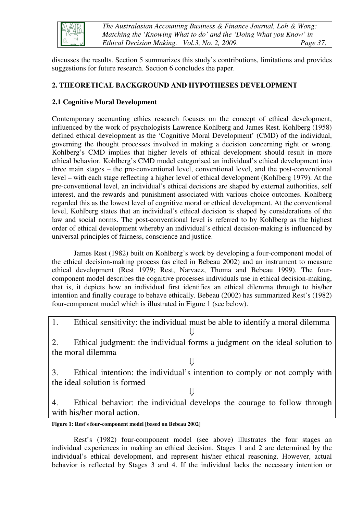

*The Australasian Accounting Business & Finance Journal, Loh & Wong: Matching the 'Knowing What to do' and the 'Doing What you Know' in Ethical Decision Making. Vol.3, No. 2, 2009. Page 37*.

discusses the results. Section 5 summarizes this study's contributions, limitations and provides suggestions for future research. Section 6 concludes the paper.

## **2. THEORETICAL BACKGROUND AND HYPOTHESES DEVELOPMENT**

### **2.1 Cognitive Moral Development**

Contemporary accounting ethics research focuses on the concept of ethical development, influenced by the work of psychologists Lawrence Kohlberg and James Rest. Kohlberg (1958) defined ethical development as the 'Cognitive Moral Development' (CMD) of the individual, governing the thought processes involved in making a decision concerning right or wrong. Kohlberg's CMD implies that higher levels of ethical development should result in more ethical behavior. Kohlberg's CMD model categorised an individual's ethical development into three main stages – the pre-conventional level, conventional level, and the post-conventional level – with each stage reflecting a higher level of ethical development (Kohlberg 1979). At the pre-conventional level, an individual's ethical decisions are shaped by external authorities, self interest, and the rewards and punishment associated with various choice outcomes. Kohlberg regarded this as the lowest level of cognitive moral or ethical development. At the conventional level, Kohlberg states that an individual's ethical decision is shaped by considerations of the law and social norms. The post-conventional level is referred to by Kohlberg as the highest order of ethical development whereby an individual's ethical decision-making is influenced by universal principles of fairness, conscience and justice.

James Rest (1982) built on Kohlberg's work by developing a four-component model of the ethical decision-making process (as cited in Bebeau 2002) and an instrument to measure ethical development (Rest 1979; Rest, Narvaez, Thoma and Bebeau 1999). The fourcomponent model describes the cognitive processes individuals use in ethical decision-making, that is, it depicts how an individual first identifies an ethical dilemma through to his/her intention and finally courage to behave ethically. Bebeau (2002) has summarized Rest's (1982) four-component model which is illustrated in Figure 1 (see below).

1. Ethical sensitivity: the individual must be able to identify a moral dilemma ⇓

2. Ethical judgment: the individual forms a judgment on the ideal solution to the moral dilemma

⇓

3. Ethical intention: the individual's intention to comply or not comply with the ideal solution is formed

⇓

4. Ethical behavior: the individual develops the courage to follow through with his/her moral action.

**Figure 1: Rest's four-component model [based on Bebeau 2002]** 

Rest's (1982) four-component model (see above) illustrates the four stages an individual experiences in making an ethical decision. Stages 1 and 2 are determined by the individual's ethical development, and represent his/her ethical reasoning. However, actual behavior is reflected by Stages 3 and 4. If the individual lacks the necessary intention or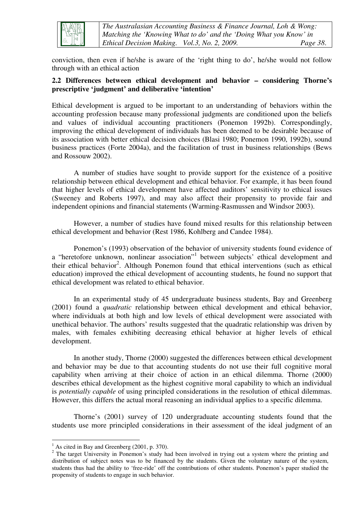

*The Australasian Accounting Business & Finance Journal, Loh & Wong: Matching the 'Knowing What to do' and the 'Doing What you Know' in Ethical Decision Making. Vol.3, No. 2, 2009. Page 38*.

conviction, then even if he/she is aware of the 'right thing to do', he/she would not follow through with an ethical action

#### **2.2 Differences between ethical development and behavior – considering Thorne's prescriptive 'judgment' and deliberative 'intention'**

Ethical development is argued to be important to an understanding of behaviors within the accounting profession because many professional judgments are conditioned upon the beliefs and values of individual accounting practitioners (Ponemon 1992b). Correspondingly, improving the ethical development of individuals has been deemed to be desirable because of its association with better ethical decision choices (Blasi 1980; Ponemon 1990, 1992b), sound business practices (Forte 2004a), and the facilitation of trust in business relationships (Bews and Rossouw 2002).

A number of studies have sought to provide support for the existence of a positive relationship between ethical development and ethical behavior. For example, it has been found that higher levels of ethical development have affected auditors' sensitivity to ethical issues (Sweeney and Roberts 1997), and may also affect their propensity to provide fair and independent opinions and financial statements (Warming-Rasmussen and Windsor 2003).

However, a number of studies have found mixed results for this relationship between ethical development and behavior (Rest 1986, Kohlberg and Candee 1984).

Ponemon's (1993) observation of the behavior of university students found evidence of a "heretofore unknown, nonlinear association"<sup>1</sup> between subjects' ethical development and their ethical behavior<sup>2</sup>. Although Ponemon found that ethical interventions (such as ethical education) improved the ethical development of accounting students, he found no support that ethical development was related to ethical behavior.

In an experimental study of 45 undergraduate business students, Bay and Greenberg (2001) found a *quadratic* relationship between ethical development and ethical behavior, where individuals at both high and low levels of ethical development were associated with unethical behavior. The authors' results suggested that the quadratic relationship was driven by males, with females exhibiting decreasing ethical behavior at higher levels of ethical development.

In another study, Thorne (2000) suggested the differences between ethical development and behavior may be due to that accounting students do not use their full cognitive moral capability when arriving at their choice of action in an ethical dilemma. Thorne (2000) describes ethical development as the highest cognitive moral capability to which an individual is *potentially capable* of using principled considerations in the resolution of ethical dilemmas. However, this differs the actual moral reasoning an individual applies to a specific dilemma.

Thorne's (2001) survey of 120 undergraduate accounting students found that the students use more principled considerations in their assessment of the ideal judgment of an

 $\overline{a}$ 

 $<sup>1</sup>$  As cited in Bay and Greenberg (2001, p. 370).</sup>

<sup>&</sup>lt;sup>2</sup> The target University in Ponemon's study had been involved in trying out a system where the printing and distribution of subject notes was to be financed by the students. Given the voluntary nature of the system, students thus had the ability to 'free-ride' off the contributions of other students. Ponemon's paper studied the propensity of students to engage in such behavior.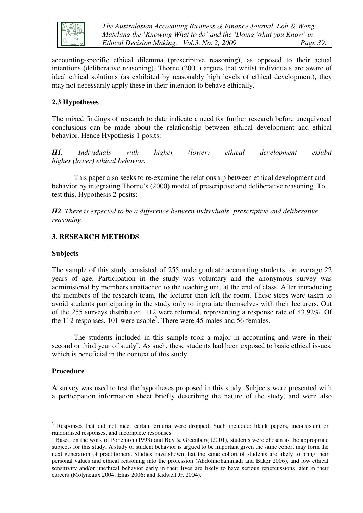

*The Australasian Accounting Business & Finance Journal, Loh & Wong: Matching the 'Knowing What to do' and the 'Doing What you Know' in Ethical Decision Making. Vol.3, No. 2, 2009. Page 39*.

accounting-specific ethical dilemma (prescriptive reasoning), as opposed to their actual intentions (deliberative reasoning). Thorne (2001) argues that whilst individuals are aware of ideal ethical solutions (as exhibited by reasonably high levels of ethical development), they may not necessarily apply these in their intention to behave ethically.

#### **2.3 Hypotheses**

The mixed findings of research to date indicate a need for further research before unequivocal conclusions can be made about the relationship between ethical development and ethical behavior. Hence Hypothesis 1 posits:

*H1. Individuals with higher (lower) ethical development exhibit higher (lower) ethical behavior.*

This paper also seeks to re-examine the relationship between ethical development and behavior by integrating Thorne's (2000) model of prescriptive and deliberative reasoning. To test this, Hypothesis 2 posits:

*H2. There is expected to be a difference between individuals' prescriptive and deliberative reasoning.* 

#### **3. RESEARCH METHODS**

#### **Subjects**

The sample of this study consisted of 255 undergraduate accounting students, on average 22 years of age. Participation in the study was voluntary and the anonymous survey was administered by members unattached to the teaching unit at the end of class. After introducing the members of the research team, the lecturer then left the room. These steps were taken to avoid students participating in the study only to ingratiate themselves with their lecturers. Out of the 255 surveys distributed, 112 were returned, representing a response rate of 43.92%. Of the 112 responses, 101 were usable<sup>3</sup>. There were 45 males and 56 females.

The students included in this sample took a major in accounting and were in their second or third year of study<sup>4</sup>. As such, these students had been exposed to basic ethical issues, which is beneficial in the context of this study.

#### **Procedure**

A survey was used to test the hypotheses proposed in this study. Subjects were presented with a participation information sheet briefly describing the nature of the study, and were also

<sup>&</sup>lt;sup>3</sup> Responses that did not meet certain criteria were dropped. Such included: blank papers, inconsistent or randomised responses, and incomplete responses.

<sup>&</sup>lt;sup>4</sup> Based on the work of Ponemon (1993) and Bay & Greenberg (2001), students were chosen as the appropriate subjects for this study. A study of student behavior is argued to be important given the same cohort may form the next generation of practitioners. Studies have shown that the same cohort of students are likely to bring their personal values and ethical reasoning into the profession (Abdolmohammadi and Baker 2006), and low ethical sensitivity and/or unethical behavior early in their lives are likely to have serious repercussions later in their careers (Molyneaux 2004; Elias 2006; and Kidwell Jr. 2004).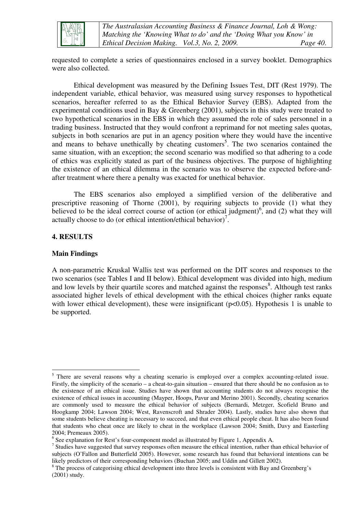

*The Australasian Accounting Business & Finance Journal, Loh & Wong: Matching the 'Knowing What to do' and the 'Doing What you Know' in Ethical Decision Making. Vol.3, No. 2, 2009. Page 40*.

requested to complete a series of questionnaires enclosed in a survey booklet. Demographics were also collected.

Ethical development was measured by the Defining Issues Test, DIT (Rest 1979). The independent variable, ethical behavior, was measured using survey responses to hypothetical scenarios, hereafter referred to as the Ethical Behavior Survey (EBS). Adapted from the experimental conditions used in Bay & Greenberg (2001), subjects in this study were treated to two hypothetical scenarios in the EBS in which they assumed the role of sales personnel in a trading business. Instructed that they would confront a reprimand for not meeting sales quotas, subjects in both scenarios are put in an agency position where they would have the incentive and means to behave unethically by cheating customers<sup>5</sup>. The two scenarios contained the same situation, with an exception; the second scenario was modified so that adhering to a code of ethics was explicitly stated as part of the business objectives. The purpose of highlighting the existence of an ethical dilemma in the scenario was to observe the expected before-andafter treatment where there a penalty was exacted for unethical behavior.

The EBS scenarios also employed a simplified version of the deliberative and prescriptive reasoning of Thorne (2001), by requiring subjects to provide (1) what they believed to be the ideal correct course of action (or ethical judgment)<sup>6</sup>, and (2) what they will actually choose to do (or ethical intention/ethical behavior)<sup>7</sup>.

#### **4. RESULTS**

#### **Main Findings**

A non-parametric Kruskal Wallis test was performed on the DIT scores and responses to the two scenarios (see Tables I and II below). Ethical development was divided into high, medium and low levels by their quartile scores and matched against the responses<sup>8</sup>. Although test ranks associated higher levels of ethical development with the ethical choices (higher ranks equate with lower ethical development), these were insignificant ( $p<0.05$ ). Hypothesis 1 is unable to be supported.

<sup>&</sup>lt;sup>5</sup> There are several reasons why a cheating scenario is employed over a complex accounting-related issue. Firstly, the simplicity of the scenario – a cheat-to-gain situation – ensured that there should be no confusion as to the existence of an ethical issue. Studies have shown that accounting students do not always recognise the existence of ethical issues in accounting (Mayper, Hoops, Pavur and Merino 2001). Secondly, cheating scenarios are commonly used to measure the ethical behavior of subjects (Bernardi, Metzger, Scofield Bruno and Hoogkamp 2004; Lawson 2004; West, Ravenscroft and Shrader 2004). Lastly, studies have also shown that some students believe cheating is necessary to succeed, and that even ethical people cheat. It has also been found that students who cheat once are likely to cheat in the workplace (Lawson 2004; Smith, Davy and Easterling 2004; Premeaux 2005).

<sup>&</sup>lt;sup>6</sup> See explanation for Rest's four-component model as illustrated by Figure 1, Appendix A.

 $<sup>7</sup>$  Studies have suggested that survey responses often measure the ethical intention, rather than ethical behavior of</sup> subjects (O'Fallon and Butterfield 2005). However, some research has found that behavioral intentions can be likely predictors of their corresponding behaviors (Buchan 2005; and Uddin and Gillett 2002).

<sup>&</sup>lt;sup>8</sup> The process of categorising ethical development into three levels is consistent with Bay and Greenberg's (2001) study.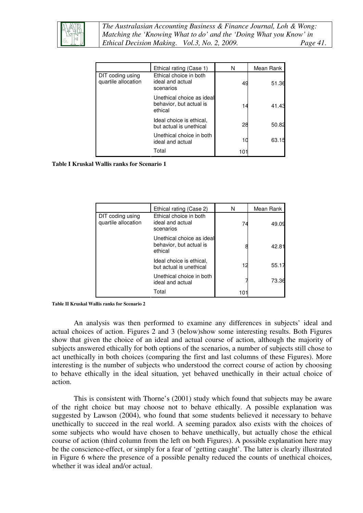

*The Australasian Accounting Business & Finance Journal, Loh & Wong: Matching the 'Knowing What to do' and the 'Doing What you Know' in Ethical Decision Making. Vol.3, No. 2, 2009. Page 41*.

|                                         | Ethical rating (Case 1)                                         | N   | Mean Rank |
|-----------------------------------------|-----------------------------------------------------------------|-----|-----------|
| DIT coding using<br>quartile allocation | Ethical choice in both<br>ideal and actual<br>scenarios         | 49  | 51.36     |
|                                         | Unethical choice as ideal<br>behavior, but actual is<br>ethical | 14  | 41.43     |
|                                         | Ideal choice is ethical,<br>but actual is unethical             | 28  | 50.82     |
|                                         | Unethical choice in both<br>ideal and actual                    | 10  | 63.15     |
|                                         | Total                                                           | 101 |           |

**Table I Kruskal Wallis ranks for Scenario 1** 

|                                         | Ethical rating (Case 2)                                         | N   | Mean Rank      |
|-----------------------------------------|-----------------------------------------------------------------|-----|----------------|
| DIT coding using<br>quartile allocation | Ethical choice in both<br>ideal and actual<br>scenarios         | 74  | 49.09          |
|                                         | Unethical choice as ideal<br>behavior, but actual is<br>ethical |     | $42.8^{\circ}$ |
|                                         | Ideal choice is ethical.<br>but actual is unethical             | 12  | 55.17          |
|                                         | Unethical choice in both<br>ideal and actual                    |     | 73.36          |
|                                         | Total                                                           | 101 |                |

**Table II Kruskal Wallis ranks for Scenario 2** 

An analysis was then performed to examine any differences in subjects' ideal and actual choices of action. Figures 2 and 3 (below)show some interesting results. Both Figures show that given the choice of an ideal and actual course of action, although the majority of subjects answered ethically for both options of the scenarios, a number of subjects still chose to act unethically in both choices (comparing the first and last columns of these Figures). More interesting is the number of subjects who understood the correct course of action by choosing to behave ethically in the ideal situation, yet behaved unethically in their actual choice of action.

This is consistent with Thorne's (2001) study which found that subjects may be aware of the right choice but may choose not to behave ethically. A possible explanation was suggested by Lawson (2004), who found that some students believed it necessary to behave unethically to succeed in the real world. A seeming paradox also exists with the choices of some subjects who would have chosen to behave unethically, but actually chose the ethical course of action (third column from the left on both Figures). A possible explanation here may be the conscience-effect, or simply for a fear of 'getting caught'. The latter is clearly illustrated in Figure 6 where the presence of a possible penalty reduced the counts of unethical choices, whether it was ideal and/or actual.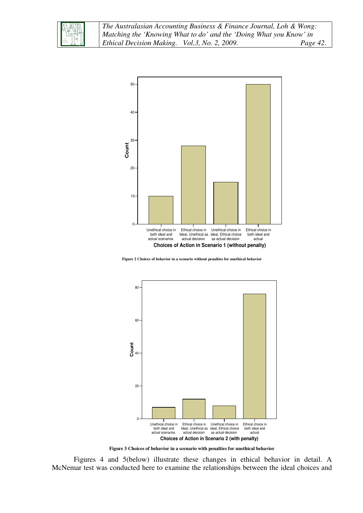



**Figure 2 Choices of behavior in a scenario without penalties for unethical behavior**



**Figure 3 Choices of behavior in a scenario with penalties for unethical behavior**

Figures 4 and 5(below) illustrate these changes in ethical behavior in detail. A McNemar test was conducted here to examine the relationships between the ideal choices and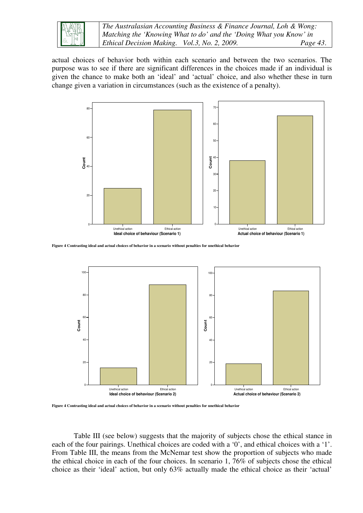

*The Australasian Accounting Business & Finance Journal, Loh & Wong: Matching the 'Knowing What to do' and the 'Doing What you Know' in Ethical Decision Making. Vol.3, No. 2, 2009. Page 43*.

actual choices of behavior both within each scenario and between the two scenarios. The purpose was to see if there are significant differences in the choices made if an individual is given the chance to make both an 'ideal' and 'actual' choice, and also whether these in turn change given a variation in circumstances (such as the existence of a penalty).



**Figure 4 Contrasting ideal and actual choices of behavior in a scenario without penalties for unethical behavior**



**Figure 4 Contrasting ideal and actual choices of behavior in a scenario without penalties for unethical behavior**

Table III (see below) suggests that the majority of subjects chose the ethical stance in each of the four pairings. Unethical choices are coded with a '0', and ethical choices with a '1'. From Table III, the means from the McNemar test show the proportion of subjects who made the ethical choice in each of the four choices. In scenario 1, 76% of subjects chose the ethical choice as their 'ideal' action, but only 63% actually made the ethical choice as their 'actual'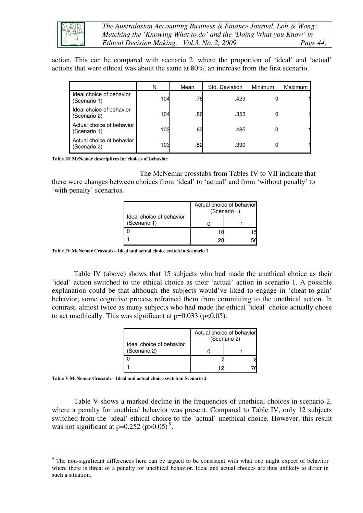

*The Australasian Accounting Business & Finance Journal, Loh & Wong: Matching the 'Knowing What to do' and the 'Doing What you Know' in Ethical Decision Making. Vol.3, No. 2, 2009. Page 44*.

action. This can be compared with scenario 2, where the proportion of 'ideal' and 'actual' actions that were ethical was about the same at 80%, an increase from the first scenario.

|                                           | N   | Mean | Std. Deviation | Minimum | Maximum |
|-------------------------------------------|-----|------|----------------|---------|---------|
| Ideal choice of behavior<br>(Scenario 1)  | 104 | .76  | .429           |         |         |
| Ideal choice of behavior<br>(Scenario 2)  | 104 | .86  | .353           |         |         |
| Actual choice of behavior<br>(Scenario 1) | 103 | .63  | .485           |         |         |
| Actual choice of behavior<br>(Scenario 2) | 103 | .82  | .390           |         |         |

**Table III McNemar descriptives for choices of behavior** 

The McNemar crosstabs from Tables IV to VII indicate that there were changes between choices from 'ideal' to 'actual' and from 'without penalty' to 'with penalty' scenarios.

|                                          | Actual choice of behavior<br>(Scenario 1) |  |  |
|------------------------------------------|-------------------------------------------|--|--|
| Ideal choice of behavior<br>(Scenario 1) |                                           |  |  |
|                                          |                                           |  |  |
|                                          |                                           |  |  |

**Table IV McNemar Crosstab – Ideal and actual choice switch in Scenario 1** 

Table IV (above) shows that 15 subjects who had made the unethical choice as their 'ideal' action switched to the ethical choice as their 'actual' action in scenario 1. A possible explanation could be that although the subjects would've liked to engage in 'cheat-to-gain' behavior, some cognitive process refrained them from committing to the unethical action. In contrast, almost twice as many subjects who had made the ethical 'ideal' choice actually chose to act unethically. This was significant at  $p=0.033$  ( $p<0.05$ ).

| Ideal choice of behavior | Actual choice of behavior<br>(Scenario 2) |  |  |
|--------------------------|-------------------------------------------|--|--|
| (Scenario 2)             |                                           |  |  |
|                          |                                           |  |  |
|                          |                                           |  |  |

**Table V McNemar Crosstab – Ideal and actual choice switch in Scenario 2** 

 $\overline{a}$ 

Table V shows a marked decline in the frequencies of unethical choices in scenario 2, where a penalty for unethical behavior was present. Compared to Table IV, only 12 subjects switched from the 'ideal' ethical choice to the 'actual' unethical choice. However, this result was not significant at  $p=0.252$  ( $p>0.05$ )<sup>9</sup>.

<sup>&</sup>lt;sup>9</sup> The non-significant differences here can be argued to be consistent with what one might expect of behavior where there is threat of a penalty for unethical behavior. Ideal and actual choices are thus unlikely to differ in such a situation.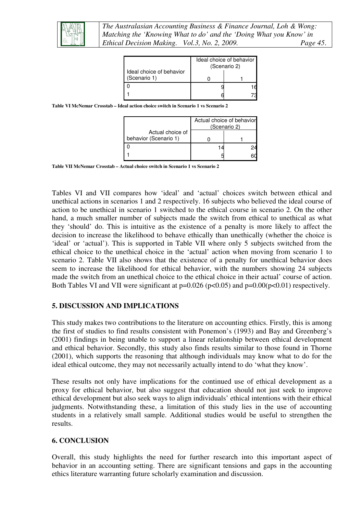

|                                          | Ideal choice of behavior<br>(Scenario 2) |  |
|------------------------------------------|------------------------------------------|--|
| Ideal choice of behavior<br>(Scenario 1) |                                          |  |
|                                          |                                          |  |
|                                          |                                          |  |

**Table VI McNemar Crosstab – Ideal action choice switch in Scenario 1 vs Scenario 2** 

|                                           | Actual choice of behavior<br>(Scenario 2) |  |
|-------------------------------------------|-------------------------------------------|--|
| Actual choice of<br>behavior (Scenario 1) |                                           |  |
|                                           |                                           |  |
|                                           |                                           |  |

**Table VII McNemar Crosstab – Actual choice switch in Scenario 1 vs Scenario 2** 

Tables VI and VII compares how 'ideal' and 'actual' choices switch between ethical and unethical actions in scenarios 1 and 2 respectively. 16 subjects who believed the ideal course of action to be unethical in scenario 1 switched to the ethical course in scenario 2. On the other hand, a much smaller number of subjects made the switch from ethical to unethical as what they 'should' do. This is intuitive as the existence of a penalty is more likely to affect the decision to increase the likelihood to behave ethically than unethically (whether the choice is 'ideal' or 'actual'). This is supported in Table VII where only 5 subjects switched from the ethical choice to the unethical choice in the 'actual' action when moving from scenario 1 to scenario 2. Table VII also shows that the existence of a penalty for unethical behavior does seem to increase the likelihood for ethical behavior, with the numbers showing 24 subjects made the switch from an unethical choice to the ethical choice in their actual' course of action. Both Tables VI and VII were significant at  $p=0.026$  ( $p<0.05$ ) and  $p=0.00$ ( $p<0.01$ ) respectively.

#### **5. DISCUSSION AND IMPLICATIONS**

This study makes two contributions to the literature on accounting ethics. Firstly, this is among the first of studies to find results consistent with Ponemon's (1993) and Bay and Greenberg's (2001) findings in being unable to support a linear relationship between ethical development and ethical behavior. Secondly, this study also finds results similar to those found in Thorne (2001), which supports the reasoning that although individuals may know what to do for the ideal ethical outcome, they may not necessarily actually intend to do 'what they know'.

These results not only have implications for the continued use of ethical development as a proxy for ethical behavior, but also suggest that education should not just seek to improve ethical development but also seek ways to align individuals' ethical intentions with their ethical judgments. Notwithstanding these, a limitation of this study lies in the use of accounting students in a relatively small sample. Additional studies would be useful to strengthen the results.

#### **6. CONCLUSION**

Overall, this study highlights the need for further research into this important aspect of behavior in an accounting setting. There are significant tensions and gaps in the accounting ethics literature warranting future scholarly examination and discussion.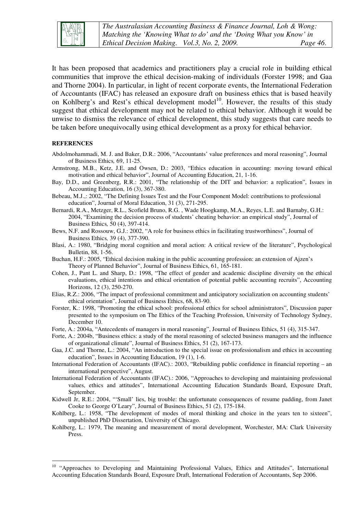

It has been proposed that academics and practitioners play a crucial role in building ethical communities that improve the ethical decision-making of individuals (Forster 1998; and Gaa and Thorne 2004). In particular, in light of recent corporate events, the International Federation of Accountants (IFAC) has released an exposure draft on business ethics that is based heavily on Kohlberg's and Rest's ethical development model<sup>10</sup>. However, the results of this study suggest that ethical development may not be related to ethical behavior. Although it would be unwise to dismiss the relevance of ethical development, this study suggests that care needs to be taken before unequivocally using ethical development as a proxy for ethical behavior.

#### **REFERENCES**

 $\overline{a}$ 

- Abdolmohammadi, M. J. and Baker, D.R.: 2006, "Accountants' value preferences and moral reasoning", Journal of Business Ethics*,* 69, 11-25.
- Armstrong, M.B., Ketz, J.E. and Owsen, D.: 2003, "Ethics education in accounting: moving toward ethical motivation and ethical behavior", Journal of Accounting Education, 21, 1-16.
- Bay, D.D., and Greenberg, R.R.: 2001, "The relationship of the DIT and behavior: a replication", Issues in Accounting Education, 16 (3), 367-380.
- Bebeau, M.J.,: 2002, "The Defining Issues Test and the Four Component Model: contributions to professional education", Journal of Moral Education, 31 (3), 271-295.
- Bernardi, R.A., Metzger, R.L., Scofield Bruno, R.G. , Wade Hoogkamp, M.A., Reyes, L.E. and Barnaby, G.H.: 2004, "Examining the decision process of students' cheating behavior: an empirical study", Journal of Business Ethics*,* 50 (4), 397-414.
- Bews, N.F. and Rossouw, G.J.: 2002, "A role for business ethics in facilitating trustworthiness", Journal of Business Ethics*,* 39 (4), 377-390.
- Blasi, A.: 1980, "Bridging moral cognition and moral action: A critical review of the literature", Psychological Bulletin, 88, 1-56.
- Buchan, H.F.: 2005, "Ethical decision making in the public accounting profession: an extension of Ajzen's Theory of Planned Behavior", Journal of Business Ethics, 61, 165-181.
- Cohen, J., Pant L. and Sharp, D.: 1998, "The effect of gender and academic discipline diversity on the ethical evaluations, ethical intentions and ethical orientation of potential public accounting recruits", Accounting Horizons, 12 (3), 250-270.
- Elias, R.Z.: 2006, "The impact of professional commitment and anticipatory socialization on accounting students' ethical orientation", Journal of Business Ethics, 68, 83-90.
- Forster, K.: 1998, "Promoting the ethical school: professional ethics for school administrators", Discussion paper presented to the symposium on The Ethics of the Teaching Profession, University of Technology Sydney, December 10.
- Forte, A.: 2004a, "Antecedents of managers in moral reasoning", Journal of Business Ethics, 51 (4), 315-347.
- Forte, A.: 2004b, "Business ethics: a study of the moral reasoning of selected business managers and the influence of organizational climate", Journal of Business Ethics, 51 (2), 167-173.
- Gaa, J.C. and Thorne, L.: 2004, "An introduction to the special issue on professionalism and ethics in accounting education", Issues in Accounting Education, 19 (1), 1-6.
- International Federation of Accountants (IFAC).: 2003, "Rebuilding public confidence in financial reporting an international perspective", August.
- International Federation of Accountants (IFAC).: 2006, "Approaches to developing and maintaining professional values, ethics and attitudes", International Accounting Education Standards Board, Exposure Draft, September.
- Kidwell Jr, R.E.: 2004, "'Small' lies, big trouble: the unfortunate consequences of resume padding, from Janet Cooke to George O'Leary", Journal of Business Ethics, 51 (2), 175-184.
- Kohlberg, L.: 1958, "The development of modes of moral thinking and choice in the years ten to sixteen", unpublished PhD Dissertation, University of Chicago.
- Kohlberg, L.: 1979, The meaning and measurement of moral development, Worchester, MA: Clark University Press.

<sup>&</sup>lt;sup>10</sup> "Approaches to Developing and Maintaining Professional Values, Ethics and Attitudes", International Accounting Education Standards Board, Exposure Draft, International Federation of Accountants, Sep 2006.